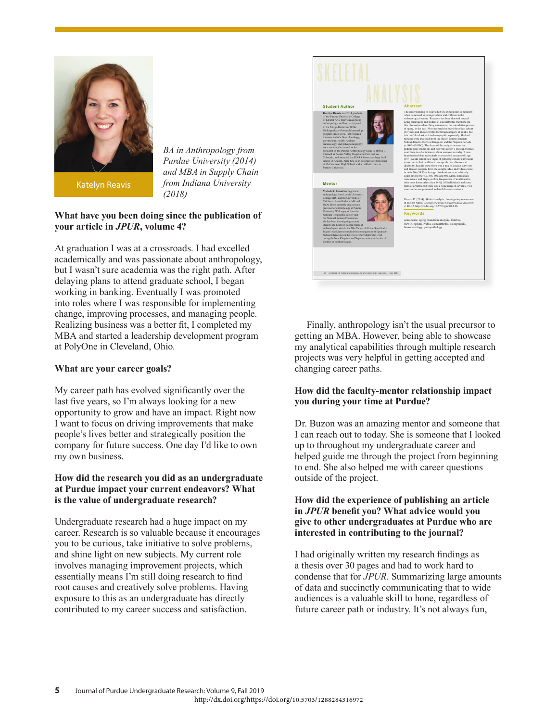

Katelyn Reavis

*BA in Anthropology from Purdue University (2014) and MBA in Supply Chain from Indiana University (2018)*

# **What have you been doing since the publication of your article in** *JPUR***, volume 4?**

At graduation I was at a crossroads. I had excelled academically and was passionate about anthropology, but I wasn't sure academia was the right path. After delaying plans to attend graduate school, I began working in banking. Eventually I was promoted into roles where I was responsible for implementing change, improving processes, and managing people. Realizing business was a better fit, I completed my MBA and started a leadership development program at PolyOne in Cleveland, Ohio.

#### **What are your career goals?**

My career path has evolved significantly over the last five years, so I'm always looking for a new opportunity to grow and have an impact. Right now I want to focus on driving improvements that make people's lives better and strategically position the company for future success. One day I'd like to own my own business.

### **How did the research you did as an undergraduate at Purdue impact your current endeavors? What is the value of undergraduate research?**

Undergraduate research had a huge impact on my career. Research is so valuable because it encourages you to be curious, take initiative to solve problems, and shine light on new subjects. My current role involves managing improvement projects, which essentially means I'm still doing research to find root causes and creatively solve problems. Having exposure to this as an undergraduate has directly contributed to my career success and satisfaction.



 Finally, anthropology isn't the usual precursor to getting an MBA. However, being able to showcase my analytical capabilities through multiple research projects was very helpful in getting accepted and changing career paths.

# **How did the faculty-mentor relationship impact you during your time at Purdue?**

Dr. Buzon was an amazing mentor and someone that I can reach out to today. She is someone that I looked up to throughout my undergraduate career and helped guide me through the project from beginning to end. She also helped me with career questions outside of the project.

### **How did the experience of publishing an article**  in *JPUR* benefit you? What advice would you **give to other undergraduates at Purdue who are interested in contributing to the journal?**

I had originally written my research findings as a thesis over 30 pages and had to work hard to condense that for *JPUR*. Summarizing large amounts of data and succinctly communicating that to wide audiences is a valuable skill to hone, regardless of future career path or industry. It's not always fun,